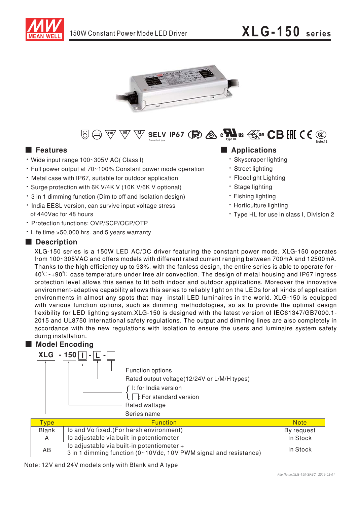



#### W SELV IP67 **B**  $\otimes$  c  $\sum_{\text{const}}$  us  $\otimes$  CB EHI C  $\in$   $\otimes$  $\circled{f}$   $\circled{f}$   $\circled{f}$   $\circled{f}$

### **E** Features

- · Wide input range 100~305V AC( Class I)
- Full power output at 70~100% Constant power mode operation
- . Metal case with IP67, suitable for outdoor application
- \* Surge protection with 6K V/4K V (10K V/6K V optional)
- . 3 in 1 dimming function (Dim to off and Isolation design)
- · India EESL version, can survive input voltage stress of 440Vac for 48 hours
- · Protection functions: OVP/SCP/OCP/OTP
- Life time > 50,000 hrs. and 5 years warranty

### Description

#### Applications · Skyscraper lighting

- 
- · Street lighting
- · Floodlight Lighting
- · Stage lighting
- · Fishing lighting
- · Horticulture lighting
- \* Type HL for use in class I, Division 2

XLG-150 series is a 150W LED AC/DC driver featuring the constant power mode. XLG-150 operates from 100~305VAC and offers models with different rated current ranging between 700mA and 12500mA. Thanks to the high efficiency up to 93%, with the fanless design, the entire series is able to operate for - $40^{\circ}$ C  $\sim$ +90 $^{\circ}$ C case temperature under free air convection. The design of metal housing and IP67 ingress protection level allows this series to fit both indoor and outdoor applications. Moreover the innovative environment-adaptive capability allows this series to reliably light on the LEDs for all kinds of application environments in almost any spots that may install LED luminaires in the world. XLG-150 is equipped with various function options, such as dimming methodologies, so as to provide the optimal design flexibility for LED lighting system.XLG-150 is designed with the latest version of IEC61347/GB7000.1-2015 and UL8750 international safety regulations. The output and dimming lines are also completely in accordance with the new regulations with isolation to ensure the users and luminaire system safety durng installation.

## Model Encoding



| <u> Type</u> | <b>Function</b>                                                                                                | <b>Note</b> |
|--------------|----------------------------------------------------------------------------------------------------------------|-------------|
| <b>Blank</b> | Io and Vo fixed. (For harsh environment)                                                                       | By request  |
| A            | lo adjustable via built-in potentiometer                                                                       | In Stock    |
| AB           | lo adjustable via built-in potentiometer +<br>3 in 1 dimming function (0~10Vdc, 10V PWM signal and resistance) | In Stock    |

Note: 12V and 24V models only with Blank and A type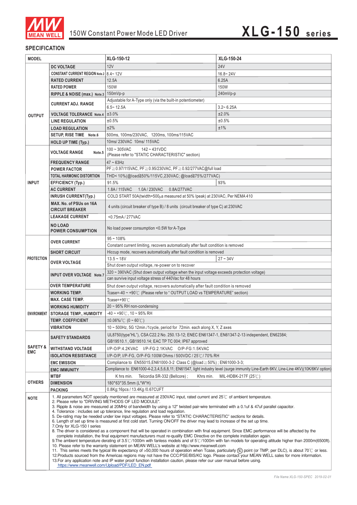

#### **SPECIFICATION**

| <b>MODEL</b>        |                                                                                                                                                                                                                                                                                                                                                                                                                                                                                                                                                                                                                                                                                                                                                                                                                                                                                                                                                                                                                                                                                                                                                                                                                                                                                                                                                                                                                                                                                                                                                                                                                                                                                                                                                     | XLG-150-12                                                                                    | XLG-150-24                                                                                                                           |  |  |  |
|---------------------|-----------------------------------------------------------------------------------------------------------------------------------------------------------------------------------------------------------------------------------------------------------------------------------------------------------------------------------------------------------------------------------------------------------------------------------------------------------------------------------------------------------------------------------------------------------------------------------------------------------------------------------------------------------------------------------------------------------------------------------------------------------------------------------------------------------------------------------------------------------------------------------------------------------------------------------------------------------------------------------------------------------------------------------------------------------------------------------------------------------------------------------------------------------------------------------------------------------------------------------------------------------------------------------------------------------------------------------------------------------------------------------------------------------------------------------------------------------------------------------------------------------------------------------------------------------------------------------------------------------------------------------------------------------------------------------------------------------------------------------------------------|-----------------------------------------------------------------------------------------------|--------------------------------------------------------------------------------------------------------------------------------------|--|--|--|
|                     | <b>DC VOLTAGE</b>                                                                                                                                                                                                                                                                                                                                                                                                                                                                                                                                                                                                                                                                                                                                                                                                                                                                                                                                                                                                                                                                                                                                                                                                                                                                                                                                                                                                                                                                                                                                                                                                                                                                                                                                   | 12V                                                                                           | <b>24V</b>                                                                                                                           |  |  |  |
|                     | CONSTANT CURRENT REGION Note.2   8.4~12V                                                                                                                                                                                                                                                                                                                                                                                                                                                                                                                                                                                                                                                                                                                                                                                                                                                                                                                                                                                                                                                                                                                                                                                                                                                                                                                                                                                                                                                                                                                                                                                                                                                                                                            |                                                                                               | $16.8 - 24V$                                                                                                                         |  |  |  |
|                     | <b>RATED CURRENT</b>                                                                                                                                                                                                                                                                                                                                                                                                                                                                                                                                                                                                                                                                                                                                                                                                                                                                                                                                                                                                                                                                                                                                                                                                                                                                                                                                                                                                                                                                                                                                                                                                                                                                                                                                | 12.5A                                                                                         | 6.25A                                                                                                                                |  |  |  |
|                     | <b>RATED POWER</b>                                                                                                                                                                                                                                                                                                                                                                                                                                                                                                                                                                                                                                                                                                                                                                                                                                                                                                                                                                                                                                                                                                                                                                                                                                                                                                                                                                                                                                                                                                                                                                                                                                                                                                                                  | 150W                                                                                          | <b>150W</b>                                                                                                                          |  |  |  |
|                     | RIPPLE & NOISE (max.) Note.3                                                                                                                                                                                                                                                                                                                                                                                                                                                                                                                                                                                                                                                                                                                                                                                                                                                                                                                                                                                                                                                                                                                                                                                                                                                                                                                                                                                                                                                                                                                                                                                                                                                                                                                        | 150mVp-p                                                                                      | 240mVp-p                                                                                                                             |  |  |  |
|                     |                                                                                                                                                                                                                                                                                                                                                                                                                                                                                                                                                                                                                                                                                                                                                                                                                                                                                                                                                                                                                                                                                                                                                                                                                                                                                                                                                                                                                                                                                                                                                                                                                                                                                                                                                     | Adjustable for A-Type only (via the built-in potentiometer)                                   |                                                                                                                                      |  |  |  |
|                     | <b>CURRENT ADJ. RANGE</b>                                                                                                                                                                                                                                                                                                                                                                                                                                                                                                                                                                                                                                                                                                                                                                                                                                                                                                                                                                                                                                                                                                                                                                                                                                                                                                                                                                                                                                                                                                                                                                                                                                                                                                                           | $6.5 - 12.5A$                                                                                 | $3.2 - 6.25A$                                                                                                                        |  |  |  |
| <b>OUTPUT</b>       | <b>VOLTAGE TOLERANCE Note.4</b>                                                                                                                                                                                                                                                                                                                                                                                                                                                                                                                                                                                                                                                                                                                                                                                                                                                                                                                                                                                                                                                                                                                                                                                                                                                                                                                                                                                                                                                                                                                                                                                                                                                                                                                     | ±3.0%                                                                                         | ±2.0%                                                                                                                                |  |  |  |
|                     | <b>LINE REGULATION</b>                                                                                                                                                                                                                                                                                                                                                                                                                                                                                                                                                                                                                                                                                                                                                                                                                                                                                                                                                                                                                                                                                                                                                                                                                                                                                                                                                                                                                                                                                                                                                                                                                                                                                                                              | ±0.5%                                                                                         | ±0.5%                                                                                                                                |  |  |  |
|                     | <b>LOAD REGULATION</b>                                                                                                                                                                                                                                                                                                                                                                                                                                                                                                                                                                                                                                                                                                                                                                                                                                                                                                                                                                                                                                                                                                                                                                                                                                                                                                                                                                                                                                                                                                                                                                                                                                                                                                                              | ±2%<br>±1%                                                                                    |                                                                                                                                      |  |  |  |
|                     | SETUP, RISE TIME Note.6                                                                                                                                                                                                                                                                                                                                                                                                                                                                                                                                                                                                                                                                                                                                                                                                                                                                                                                                                                                                                                                                                                                                                                                                                                                                                                                                                                                                                                                                                                                                                                                                                                                                                                                             | 500ms, 100ms/230VAC, 1200ms, 100ms/115VAC                                                     |                                                                                                                                      |  |  |  |
|                     | <b>HOLD UP TIME (Typ.)</b>                                                                                                                                                                                                                                                                                                                                                                                                                                                                                                                                                                                                                                                                                                                                                                                                                                                                                                                                                                                                                                                                                                                                                                                                                                                                                                                                                                                                                                                                                                                                                                                                                                                                                                                          | 10ms/ 230VAC 10ms/ 115VAC                                                                     |                                                                                                                                      |  |  |  |
|                     |                                                                                                                                                                                                                                                                                                                                                                                                                                                                                                                                                                                                                                                                                                                                                                                                                                                                                                                                                                                                                                                                                                                                                                                                                                                                                                                                                                                                                                                                                                                                                                                                                                                                                                                                                     | $100 - 305$ VAC<br>$142 - 431VDC$                                                             |                                                                                                                                      |  |  |  |
|                     | <b>VOLTAGE RANGE</b><br>Note.5                                                                                                                                                                                                                                                                                                                                                                                                                                                                                                                                                                                                                                                                                                                                                                                                                                                                                                                                                                                                                                                                                                                                                                                                                                                                                                                                                                                                                                                                                                                                                                                                                                                                                                                      | (Please refer to "STATIC CHARACTERISTIC" section)                                             |                                                                                                                                      |  |  |  |
|                     | <b>FREQUENCY RANGE</b>                                                                                                                                                                                                                                                                                                                                                                                                                                                                                                                                                                                                                                                                                                                                                                                                                                                                                                                                                                                                                                                                                                                                                                                                                                                                                                                                                                                                                                                                                                                                                                                                                                                                                                                              | $47 \sim 63$ Hz                                                                               |                                                                                                                                      |  |  |  |
|                     | <b>POWER FACTOR</b>                                                                                                                                                                                                                                                                                                                                                                                                                                                                                                                                                                                                                                                                                                                                                                                                                                                                                                                                                                                                                                                                                                                                                                                                                                                                                                                                                                                                                                                                                                                                                                                                                                                                                                                                 | PF ≥ 0.97/115VAC, PF ≥ 0.95/230VAC, PF ≥ 0.92/277VAC@full load                                |                                                                                                                                      |  |  |  |
|                     | <b>TOTAL HARMONIC DISTORTION</b>                                                                                                                                                                                                                                                                                                                                                                                                                                                                                                                                                                                                                                                                                                                                                                                                                                                                                                                                                                                                                                                                                                                                                                                                                                                                                                                                                                                                                                                                                                                                                                                                                                                                                                                    | THD<10%(@load≧50%/115VC,230VAC; @load≧75%/277VAC)                                             |                                                                                                                                      |  |  |  |
| <b>INPUT</b>        | <b>EFFICIENCY (Typ.)</b>                                                                                                                                                                                                                                                                                                                                                                                                                                                                                                                                                                                                                                                                                                                                                                                                                                                                                                                                                                                                                                                                                                                                                                                                                                                                                                                                                                                                                                                                                                                                                                                                                                                                                                                            | 91.5%                                                                                         | 93%                                                                                                                                  |  |  |  |
|                     | <b>AC CURRENT</b>                                                                                                                                                                                                                                                                                                                                                                                                                                                                                                                                                                                                                                                                                                                                                                                                                                                                                                                                                                                                                                                                                                                                                                                                                                                                                                                                                                                                                                                                                                                                                                                                                                                                                                                                   | 1.0A / 230VAC<br>0.8A/277VAC<br>1.8A/115VAC                                                   |                                                                                                                                      |  |  |  |
|                     | <b>INRUSH CURRENT(Typ.)</b>                                                                                                                                                                                                                                                                                                                                                                                                                                                                                                                                                                                                                                                                                                                                                                                                                                                                                                                                                                                                                                                                                                                                                                                                                                                                                                                                                                                                                                                                                                                                                                                                                                                                                                                         | COLD START 50A(twidth=500 $\mu$ s measured at 50% Ipeak) at 230VAC; Per NEMA 410              |                                                                                                                                      |  |  |  |
|                     | MAX. No. of PSUs on 16A                                                                                                                                                                                                                                                                                                                                                                                                                                                                                                                                                                                                                                                                                                                                                                                                                                                                                                                                                                                                                                                                                                                                                                                                                                                                                                                                                                                                                                                                                                                                                                                                                                                                                                                             |                                                                                               |                                                                                                                                      |  |  |  |
|                     | <b>CIRCUIT BREAKER</b>                                                                                                                                                                                                                                                                                                                                                                                                                                                                                                                                                                                                                                                                                                                                                                                                                                                                                                                                                                                                                                                                                                                                                                                                                                                                                                                                                                                                                                                                                                                                                                                                                                                                                                                              | 4 units (circuit breaker of type B) / 8 units (circuit breaker of type C) at 230VAC           |                                                                                                                                      |  |  |  |
|                     | <b>LEAKAGE CURRENT</b>                                                                                                                                                                                                                                                                                                                                                                                                                                                                                                                                                                                                                                                                                                                                                                                                                                                                                                                                                                                                                                                                                                                                                                                                                                                                                                                                                                                                                                                                                                                                                                                                                                                                                                                              | <0.75mA/277VAC                                                                                |                                                                                                                                      |  |  |  |
|                     | <b>NO LOAD</b>                                                                                                                                                                                                                                                                                                                                                                                                                                                                                                                                                                                                                                                                                                                                                                                                                                                                                                                                                                                                                                                                                                                                                                                                                                                                                                                                                                                                                                                                                                                                                                                                                                                                                                                                      |                                                                                               |                                                                                                                                      |  |  |  |
|                     | <b>POWER CONSUMPTION</b>                                                                                                                                                                                                                                                                                                                                                                                                                                                                                                                                                                                                                                                                                                                                                                                                                                                                                                                                                                                                                                                                                                                                                                                                                                                                                                                                                                                                                                                                                                                                                                                                                                                                                                                            | No load power consumption <0.5W for A-Type                                                    |                                                                                                                                      |  |  |  |
|                     |                                                                                                                                                                                                                                                                                                                                                                                                                                                                                                                                                                                                                                                                                                                                                                                                                                                                                                                                                                                                                                                                                                                                                                                                                                                                                                                                                                                                                                                                                                                                                                                                                                                                                                                                                     | $95 - 108%$                                                                                   |                                                                                                                                      |  |  |  |
|                     | <b>OVER CURRENT</b>                                                                                                                                                                                                                                                                                                                                                                                                                                                                                                                                                                                                                                                                                                                                                                                                                                                                                                                                                                                                                                                                                                                                                                                                                                                                                                                                                                                                                                                                                                                                                                                                                                                                                                                                 | Constant current limiting, recovers automatically after fault condition is removed            |                                                                                                                                      |  |  |  |
|                     | <b>SHORT CIRCUIT</b>                                                                                                                                                                                                                                                                                                                                                                                                                                                                                                                                                                                                                                                                                                                                                                                                                                                                                                                                                                                                                                                                                                                                                                                                                                                                                                                                                                                                                                                                                                                                                                                                                                                                                                                                | Hiccup mode, recovers automatically after fault condition is removed                          |                                                                                                                                      |  |  |  |
| <b>PROTECTION</b>   |                                                                                                                                                                                                                                                                                                                                                                                                                                                                                                                                                                                                                                                                                                                                                                                                                                                                                                                                                                                                                                                                                                                                                                                                                                                                                                                                                                                                                                                                                                                                                                                                                                                                                                                                                     | $13.5 - 18V$<br>$27 - 34V$                                                                    |                                                                                                                                      |  |  |  |
|                     | <b>OVER VOLTAGE</b>                                                                                                                                                                                                                                                                                                                                                                                                                                                                                                                                                                                                                                                                                                                                                                                                                                                                                                                                                                                                                                                                                                                                                                                                                                                                                                                                                                                                                                                                                                                                                                                                                                                                                                                                 | Shut down output voltage, re-power on to recover                                              |                                                                                                                                      |  |  |  |
|                     | <b>INPUT OVER VOLTAGE Note.7</b>                                                                                                                                                                                                                                                                                                                                                                                                                                                                                                                                                                                                                                                                                                                                                                                                                                                                                                                                                                                                                                                                                                                                                                                                                                                                                                                                                                                                                                                                                                                                                                                                                                                                                                                    | 320 ~ 390VAC (Shut down output voltage when the input voltage exceeds protection voltage)     |                                                                                                                                      |  |  |  |
|                     |                                                                                                                                                                                                                                                                                                                                                                                                                                                                                                                                                                                                                                                                                                                                                                                                                                                                                                                                                                                                                                                                                                                                                                                                                                                                                                                                                                                                                                                                                                                                                                                                                                                                                                                                                     | can survive input voltage stress of 440Vac for 48 hours                                       |                                                                                                                                      |  |  |  |
|                     | <b>OVER TEMPERATURE</b>                                                                                                                                                                                                                                                                                                                                                                                                                                                                                                                                                                                                                                                                                                                                                                                                                                                                                                                                                                                                                                                                                                                                                                                                                                                                                                                                                                                                                                                                                                                                                                                                                                                                                                                             | Shut down output voltage, recovers automatically after fault condition is removed             |                                                                                                                                      |  |  |  |
|                     | <b>WORKING TEMP.</b>                                                                                                                                                                                                                                                                                                                                                                                                                                                                                                                                                                                                                                                                                                                                                                                                                                                                                                                                                                                                                                                                                                                                                                                                                                                                                                                                                                                                                                                                                                                                                                                                                                                                                                                                | Tcase=-40 ~ +90°C (Please refer to "OUTPUT LOAD vs TEMPERATURE" section)                      |                                                                                                                                      |  |  |  |
|                     | <b>MAX. CASE TEMP.</b>                                                                                                                                                                                                                                                                                                                                                                                                                                                                                                                                                                                                                                                                                                                                                                                                                                                                                                                                                                                                                                                                                                                                                                                                                                                                                                                                                                                                                                                                                                                                                                                                                                                                                                                              | Tcase=+90 $°C$                                                                                |                                                                                                                                      |  |  |  |
|                     | <b>WORKING HUMIDITY</b>                                                                                                                                                                                                                                                                                                                                                                                                                                                                                                                                                                                                                                                                                                                                                                                                                                                                                                                                                                                                                                                                                                                                                                                                                                                                                                                                                                                                                                                                                                                                                                                                                                                                                                                             | $20 \sim 95\%$ RH non-condensing                                                              |                                                                                                                                      |  |  |  |
| <b>ENVIRONMENT</b>  | <b>STORAGE TEMP., HUMIDITY</b>                                                                                                                                                                                                                                                                                                                                                                                                                                                                                                                                                                                                                                                                                                                                                                                                                                                                                                                                                                                                                                                                                                                                                                                                                                                                                                                                                                                                                                                                                                                                                                                                                                                                                                                      | $-40 \sim +90^{\circ}$ C, 10 ~ 95% RH                                                         |                                                                                                                                      |  |  |  |
|                     | <b>TEMP. COEFFICIENT</b>                                                                                                                                                                                                                                                                                                                                                                                                                                                                                                                                                                                                                                                                                                                                                                                                                                                                                                                                                                                                                                                                                                                                                                                                                                                                                                                                                                                                                                                                                                                                                                                                                                                                                                                            | $\pm 0.06\%$ / $\degree$ (0 ~ 60 $\degree$ C)                                                 |                                                                                                                                      |  |  |  |
|                     | <b>VIBRATION</b>                                                                                                                                                                                                                                                                                                                                                                                                                                                                                                                                                                                                                                                                                                                                                                                                                                                                                                                                                                                                                                                                                                                                                                                                                                                                                                                                                                                                                                                                                                                                                                                                                                                                                                                                    | 10 ~ 500Hz, 5G 12min./1cycle, period for 72min. each along X, Y, Z axes                       |                                                                                                                                      |  |  |  |
|                     | <b>SAFETY STANDARDS</b>                                                                                                                                                                                                                                                                                                                                                                                                                                                                                                                                                                                                                                                                                                                                                                                                                                                                                                                                                                                                                                                                                                                                                                                                                                                                                                                                                                                                                                                                                                                                                                                                                                                                                                                             | UL8750(type"HL"), CSA C22.2 No. 250.13-12; ENEC EN61347-1, EN61347-2-13 independent, EN62384; |                                                                                                                                      |  |  |  |
|                     |                                                                                                                                                                                                                                                                                                                                                                                                                                                                                                                                                                                                                                                                                                                                                                                                                                                                                                                                                                                                                                                                                                                                                                                                                                                                                                                                                                                                                                                                                                                                                                                                                                                                                                                                                     | GB19510.1, GB19510.14; EAC TP TC 004; IP67 approved                                           |                                                                                                                                      |  |  |  |
| <b>SAFETY &amp;</b> | <b>WITHSTAND VOLTAGE</b>                                                                                                                                                                                                                                                                                                                                                                                                                                                                                                                                                                                                                                                                                                                                                                                                                                                                                                                                                                                                                                                                                                                                                                                                                                                                                                                                                                                                                                                                                                                                                                                                                                                                                                                            | I/P-O/P:4.2KVAC I/P-FG:2.1KVAC O/P-FG:1.5KVAC                                                 |                                                                                                                                      |  |  |  |
| EMC                 | <b>ISOLATION RESISTANCE</b>                                                                                                                                                                                                                                                                                                                                                                                                                                                                                                                                                                                                                                                                                                                                                                                                                                                                                                                                                                                                                                                                                                                                                                                                                                                                                                                                                                                                                                                                                                                                                                                                                                                                                                                         | I/P-O/P, I/P-FG, O/P-FG:100M Ohms / 500VDC / 25℃/ 70% RH                                      |                                                                                                                                      |  |  |  |
|                     | <b>EMC EMISSION</b>                                                                                                                                                                                                                                                                                                                                                                                                                                                                                                                                                                                                                                                                                                                                                                                                                                                                                                                                                                                                                                                                                                                                                                                                                                                                                                                                                                                                                                                                                                                                                                                                                                                                                                                                 | Compliance to EN55015, EN61000-3-2 Class C (@load $\geq$ 50%); EN61000-3-3;                   |                                                                                                                                      |  |  |  |
|                     | <b>EMC IMMUNITY</b>                                                                                                                                                                                                                                                                                                                                                                                                                                                                                                                                                                                                                                                                                                                                                                                                                                                                                                                                                                                                                                                                                                                                                                                                                                                                                                                                                                                                                                                                                                                                                                                                                                                                                                                                 |                                                                                               | Compliance to EN61000-4-2,3,4,5,6,8,11; EN61547, light industry level (surge immunity Line-Earth 6KV, Line-Line 4KV)(10K/6KV option) |  |  |  |
|                     | <b>MTBF</b>                                                                                                                                                                                                                                                                                                                                                                                                                                                                                                                                                                                                                                                                                                                                                                                                                                                                                                                                                                                                                                                                                                                                                                                                                                                                                                                                                                                                                                                                                                                                                                                                                                                                                                                                         | K hrs min.<br>Telcordia SR-332 (Bellcore);<br>Khrs min.                                       | MIL-HDBK-217F $(25^{\circ}$ C)                                                                                                       |  |  |  |
| <b>OTHERS</b>       | <b>DIMENSION</b>                                                                                                                                                                                                                                                                                                                                                                                                                                                                                                                                                                                                                                                                                                                                                                                                                                                                                                                                                                                                                                                                                                                                                                                                                                                                                                                                                                                                                                                                                                                                                                                                                                                                                                                                    | 180*63*35.5mm (L*W*H)                                                                         |                                                                                                                                      |  |  |  |
|                     | <b>PACKING</b>                                                                                                                                                                                                                                                                                                                                                                                                                                                                                                                                                                                                                                                                                                                                                                                                                                                                                                                                                                                                                                                                                                                                                                                                                                                                                                                                                                                                                                                                                                                                                                                                                                                                                                                                      | 0.8Kg;16pcs / 13.4Kg /0.67CUFT                                                                |                                                                                                                                      |  |  |  |
| <b>NOTE</b>         | 1. All parameters NOT specially mentioned are measured at 230VAC input, rated current and 25°C of ambient temperature.<br>2. Please refer to "DRIVING METHODS OF LED MODULE".<br>3. Ripple & noise are measured at 20MHz of bandwidth by using a 12" twisted pair-wire terminated with a 0.1uf & 47uf parallel capacitor.<br>4. Tolerance: includes set up tolerance, line regulation and load regulation.<br>5. De-rating may be needed under low input voltages. Please refer to "STATIC CHARACTERISTIC" sections for details.<br>6. Length of set up time is measured at first cold start. Turning ON/OFF the driver may lead to increase of the set up time.<br>7.Only for XLG-150 I series<br>8. The driver is considered as a component that will be operated in combination with final equipment. Since EMC performance will be affected by the<br>complete installation, the final equipment manufacturers must re-qualify EMC Directive on the complete installation again.<br>9. The ambient temperature derating of 3.5°C/1000m with fanless models and of 5°C/1000m with fan models for operating altitude higher than 2000m(6500ft).<br>10. Please refer to the warranty statement on MEAN WELL's website at http://www.meanwell.com<br>11. This series meets the typical life expectancy of >50,000 hours of operation when Tcase, particularly (tc) point (or TMP, per DLC), is about 70°C or less.<br>12. Products sourced from the Americas regions may not have the CCC/PSE/BIS/KC logo. Please contact your MEAN WELL sales for more information.<br>13. For any application note and IP water proof function installation caution, please refer our user manual before using.<br>https://www.meanwell.com/Upload/PDF/LED EN.pdf |                                                                                               |                                                                                                                                      |  |  |  |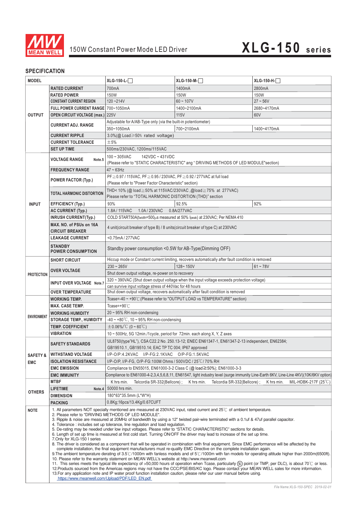

## **SPECIFICATION**

| 700mA<br><b>RATED CURRENT</b><br>1400mA<br>2800mA<br>150W<br>150W<br><b>RATED POWER</b><br>150W<br>$120 - 214V$<br>$60 - 107V$<br>$27 - 56V$<br><b>CONSTANT CURRENT REGION</b><br>FULL POWER CURRENT RANGE 700~1050mA<br>1400~2100mA<br>2680~4170mA<br><b>OUTPUT</b><br><b>115V</b><br><b>OPEN CIRCUIT VOLTAGE (max.) 225V</b><br>60V<br>Adjustable for A/AB-Type only (via the built-in potentiometer)<br><b>CURRENT ADJ. RANGE</b><br>350~1050mA<br>700~2100mA<br>1400~4170mA<br><b>CURRENT RIPPLE</b><br>$3.0\%$ (@ Load $\geq 50\%$ rated voltage)<br>±5%<br><b>CURRENT TOLERANCE</b><br><b>SET UP TIME</b><br>500ms/230VAC, 1200ms/115VAC<br>$100 - 305$ VAC<br>142VDC ~ 431VDC<br><b>VOLTAGE RANGE</b><br>Note.5<br>(Please refer to "STATIC CHARACTERISTIC" ang " DRIVING METHODS OF LED MODULE"section)<br>$47 \sim 63$ Hz<br><b>FREQUENCY RANGE</b><br>PF ≥ 0.97 / 115VAC, PF ≥ 0.95 / 230VAC, PF ≥ 0.92 / 277VAC at full load<br><b>POWER FACTOR (Typ.)</b><br>(Please refer to "Power Factor Characteristic" section)<br>THD<10% (@ load≧50% at 115VAC/230VAC, @load≧75% at 277VAC)<br><b>TOTAL HARMONIC DISTORTION</b><br>Please refer to "TOTAL HARMONIC DISTORTION (THD)" section<br>93%<br>92.5%<br>92%<br><b>INPUT</b><br><b>EFFICIENCY (Typ.)</b><br>1.0A / 230VAC<br><b>AC CURRENT (Typ.)</b><br>1.8A/115VAC<br>0.8A/277VAC<br>COLD START50A(twidth=500µs measured at 50% Ipeak) at 230VAC; Per NEMA 410<br><b>INRUSH CURRENT(Typ.)</b><br>MAX. NO. of PSUs on 16A<br>4 unit(circuit breaker of type B) / 8 units(circuit breaker of type C) at 230VAC<br><b>CIRCUIT BREAKER</b><br><b>LEAKAGE CURRENT</b><br><0.75mA/277VAC<br><b>STANDBY</b><br>Standby power consumption <0.5W for AB-Type(Dimming OFF)<br><b>POWER CONSUMPTION</b><br>Hiccup mode or Constant current limiting, recovers automatically after fault condition is removed<br><b>SHORT CIRCUIT</b><br>128~150V<br>$230 - 265V$<br>$61 - 78V$<br><b>OVER VOLTAGE</b><br>Shut down output voltage, re-power on to recovery<br><b>PROTECTION</b><br>320 ~ 390VAC (Shut down output voltage when the input voltage exceeds protection voltage)<br>INPUT OVER VOLTAGE Note.7<br>can survive input voltage stress of 440Vac for 48 hours<br>Shut down output voltage, recovers automatically after fault condition is removed<br><b>OVER TEMPERATURE</b><br>Tcase=-40 ~ +90℃ (Please refer to "OUTPUT LOAD vs TEMPERATURE" section)<br><b>WORKING TEMP.</b><br>Tcase=+90 $°C$<br><b>MAX. CASE TEMP.</b><br>$20 \sim 95\%$ RH non-condensing<br><b>WORKING HUMIDITY</b><br><b>ENVIRONMENT</b><br>$-40 \sim +80^{\circ}$ C, 10 ~ 95% RH non-condensing<br><b>STORAGE TEMP., HUMIDITY</b><br><b>TEMP, COEFFICIENT</b><br>$\pm 0.06\%$ (0 ~ 60°C)<br><b>VIBRATION</b><br>10 ~ 500Hz, 5G 12min./1cycle, period for 72min. each along X, Y, Z axes<br>UL8750(type"HL"), CSA C22.2 No. 250.13-12; ENEC EN61347-1, EN61347-2-13 independent, EN62384;<br><b>SAFETY STANDARDS</b><br>GB19510.1, GB19510.14; EAC TP TC 004; IP67 approved<br><b>WITHSTAND VOLTAGE</b><br>I/P-O/P:4.2KVAC I/P-FG:2.1KVAC O/P-FG:1.5KVAC<br><b>SAFETY &amp;</b><br><b>ISOLATION RESISTANCE</b><br>I/P-O/P, I/P-FG, O/P-FG:100M Ohms / 500VDC / 25 °C / 70% RH<br><b>EMC</b><br><b>EMC EMISSION</b><br>Compliance to EN55015, EN61000-3-2 Class C (@ load≧50%); EN61000-3-3<br><b>EMC IMMUNITY</b><br>Compliance to EN61000-4-2,3,4,5,6,8,11, EN61547, light industry level (surge immunity Line-Earth 6KV, Line-Line 4KV)(10K/6KV option)<br><b>MTBF</b><br>K hrs min.<br>K hrs min.<br>Telcordia SR-332(Bellcore);<br>K hrs min.<br>Telcordia SR-332(Bellcore) ;<br>50000 hrs min.<br><b>LIFETIME</b><br>Note.4<br><b>OTHERS</b><br><b>DIMENSION</b><br>180*63*35.5mm (L*W*H)<br>0.8Kg;16pcs/13.4Kg/0.67CUFT<br><b>PACKING</b><br>1. All parameters NOT specially mentioned are measured at 230VAC input, rated current and 25°C of ambient temperature.<br><b>NOTE</b><br>2. Please refer to "DRIVING METHODS OF LED MODULE".<br>3. Ripple & noise are measured at 20MHz of bandwidth by using a 12" twisted pair-wire terminated with a 0.1uf & 47uf parallel capacitor.<br>4. Tolerance: includes set up tolerance, line regulation and load regulation.<br>5. De-rating may be needed under low input voltages. Please refer to "STATIC CHARACTERISTIC" sections for details.<br>6. Length of set up time is measured at first cold start. Turning ON/OFF the driver may lead to increase of the set up time.<br>7.Only for XLG-150 I series<br>8. The driver is considered as a component that will be operated in combination with final equipment. Since EMC performance will be affected by the<br>complete installation, the final equipment manufacturers must re-qualify EMC Directive on the complete installation again.<br>9. The ambient temperature derating of $3.5^{\circ}$ /1000m with fanless models and of 5 $^{\circ}$ /1000m with fan models for operating altitude higher than 2000m (6500ft).<br>10. Please refer to the warranty statement on MEAN WELL's website at http://www.meanwell.com<br>11. This series meets the typical life expectancy of >50,000 hours of operation when Tcase, particularly (tc) point (or TMP, per DLC), is about 70℃ or less.<br>12. Products sourced from the Americas regions may not have the CCC/PSE/BIS/KC logo. Please contact your MEAN WELL sales for more information. | <b>MODEL</b> |  | $XLG-150-L$ - | $XLG-150-M-$ | $XLG-150-H-$         |  |  |
|--------------------------------------------------------------------------------------------------------------------------------------------------------------------------------------------------------------------------------------------------------------------------------------------------------------------------------------------------------------------------------------------------------------------------------------------------------------------------------------------------------------------------------------------------------------------------------------------------------------------------------------------------------------------------------------------------------------------------------------------------------------------------------------------------------------------------------------------------------------------------------------------------------------------------------------------------------------------------------------------------------------------------------------------------------------------------------------------------------------------------------------------------------------------------------------------------------------------------------------------------------------------------------------------------------------------------------------------------------------------------------------------------------------------------------------------------------------------------------------------------------------------------------------------------------------------------------------------------------------------------------------------------------------------------------------------------------------------------------------------------------------------------------------------------------------------------------------------------------------------------------------------------------------------------------------------------------------------------------------------------------------------------------------------------------------------------------------------------------------------------------------------------------------------------------------------------------------------------------------------------------------------------------------------------------------------------------------------------------------------------------------------------------------------------------------------------------------------------------------------------------------------------------------------------------------------------------------------------------------------------------------------------------------------------------------------------------------------------------------------------------------------------------------------------------------------------------------------------------------------------------------------------------------------------------------------------------------------------------------------------------------------------------------------------------------------------------------------------------------------------------------------------------------------------------------------------------------------------------------------------------------------------------------------------------------------------------------------------------------------------------------------------------------------------------------------------------------------------------------------------------------------------------------------------------------------------------------------------------------------------------------------------------------------------------------------------------------------------------------------------------------------------------------------------------------------------------------------------------------------------------------------------------------------------------------------------------------------------------------------------------------------------------------------------------------------------------------------------------------------------------------------------------------------------------------------------------------------------------------------------------------------------------------------------------------------------------------------------------------------------------------------------------------------------------------------------------------------------------------------------------------------------------------------------------------------------------------------------------------------------------------------------------------------------------------------------------------------------------------------------------------------------------------------------------------------------------------------------------------------------------------------------------------------------------------------------------------------------------------------------------------------------------------------------------------------------------------------------------------------------------------------------------------------------------------------------------------------------------------------------------------------------------------------------------------------------------------------------------------------------------------------|--------------|--|---------------|--------------|----------------------|--|--|
|                                                                                                                                                                                                                                                                                                                                                                                                                                                                                                                                                                                                                                                                                                                                                                                                                                                                                                                                                                                                                                                                                                                                                                                                                                                                                                                                                                                                                                                                                                                                                                                                                                                                                                                                                                                                                                                                                                                                                                                                                                                                                                                                                                                                                                                                                                                                                                                                                                                                                                                                                                                                                                                                                                                                                                                                                                                                                                                                                                                                                                                                                                                                                                                                                                                                                                                                                                                                                                                                                                                                                                                                                                                                                                                                                                                                                                                                                                                                                                                                                                                                                                                                                                                                                                                                                                                                                                                                                                                                                                                                                                                                                                                                                                                                                                                                                                                                                                                                                                                                                                                                                                                                                                                                                                                                                                                                                                                            |              |  |               |              |                      |  |  |
|                                                                                                                                                                                                                                                                                                                                                                                                                                                                                                                                                                                                                                                                                                                                                                                                                                                                                                                                                                                                                                                                                                                                                                                                                                                                                                                                                                                                                                                                                                                                                                                                                                                                                                                                                                                                                                                                                                                                                                                                                                                                                                                                                                                                                                                                                                                                                                                                                                                                                                                                                                                                                                                                                                                                                                                                                                                                                                                                                                                                                                                                                                                                                                                                                                                                                                                                                                                                                                                                                                                                                                                                                                                                                                                                                                                                                                                                                                                                                                                                                                                                                                                                                                                                                                                                                                                                                                                                                                                                                                                                                                                                                                                                                                                                                                                                                                                                                                                                                                                                                                                                                                                                                                                                                                                                                                                                                                                            |              |  |               |              |                      |  |  |
|                                                                                                                                                                                                                                                                                                                                                                                                                                                                                                                                                                                                                                                                                                                                                                                                                                                                                                                                                                                                                                                                                                                                                                                                                                                                                                                                                                                                                                                                                                                                                                                                                                                                                                                                                                                                                                                                                                                                                                                                                                                                                                                                                                                                                                                                                                                                                                                                                                                                                                                                                                                                                                                                                                                                                                                                                                                                                                                                                                                                                                                                                                                                                                                                                                                                                                                                                                                                                                                                                                                                                                                                                                                                                                                                                                                                                                                                                                                                                                                                                                                                                                                                                                                                                                                                                                                                                                                                                                                                                                                                                                                                                                                                                                                                                                                                                                                                                                                                                                                                                                                                                                                                                                                                                                                                                                                                                                                            |              |  |               |              |                      |  |  |
|                                                                                                                                                                                                                                                                                                                                                                                                                                                                                                                                                                                                                                                                                                                                                                                                                                                                                                                                                                                                                                                                                                                                                                                                                                                                                                                                                                                                                                                                                                                                                                                                                                                                                                                                                                                                                                                                                                                                                                                                                                                                                                                                                                                                                                                                                                                                                                                                                                                                                                                                                                                                                                                                                                                                                                                                                                                                                                                                                                                                                                                                                                                                                                                                                                                                                                                                                                                                                                                                                                                                                                                                                                                                                                                                                                                                                                                                                                                                                                                                                                                                                                                                                                                                                                                                                                                                                                                                                                                                                                                                                                                                                                                                                                                                                                                                                                                                                                                                                                                                                                                                                                                                                                                                                                                                                                                                                                                            |              |  |               |              |                      |  |  |
|                                                                                                                                                                                                                                                                                                                                                                                                                                                                                                                                                                                                                                                                                                                                                                                                                                                                                                                                                                                                                                                                                                                                                                                                                                                                                                                                                                                                                                                                                                                                                                                                                                                                                                                                                                                                                                                                                                                                                                                                                                                                                                                                                                                                                                                                                                                                                                                                                                                                                                                                                                                                                                                                                                                                                                                                                                                                                                                                                                                                                                                                                                                                                                                                                                                                                                                                                                                                                                                                                                                                                                                                                                                                                                                                                                                                                                                                                                                                                                                                                                                                                                                                                                                                                                                                                                                                                                                                                                                                                                                                                                                                                                                                                                                                                                                                                                                                                                                                                                                                                                                                                                                                                                                                                                                                                                                                                                                            |              |  |               |              |                      |  |  |
|                                                                                                                                                                                                                                                                                                                                                                                                                                                                                                                                                                                                                                                                                                                                                                                                                                                                                                                                                                                                                                                                                                                                                                                                                                                                                                                                                                                                                                                                                                                                                                                                                                                                                                                                                                                                                                                                                                                                                                                                                                                                                                                                                                                                                                                                                                                                                                                                                                                                                                                                                                                                                                                                                                                                                                                                                                                                                                                                                                                                                                                                                                                                                                                                                                                                                                                                                                                                                                                                                                                                                                                                                                                                                                                                                                                                                                                                                                                                                                                                                                                                                                                                                                                                                                                                                                                                                                                                                                                                                                                                                                                                                                                                                                                                                                                                                                                                                                                                                                                                                                                                                                                                                                                                                                                                                                                                                                                            |              |  |               |              |                      |  |  |
|                                                                                                                                                                                                                                                                                                                                                                                                                                                                                                                                                                                                                                                                                                                                                                                                                                                                                                                                                                                                                                                                                                                                                                                                                                                                                                                                                                                                                                                                                                                                                                                                                                                                                                                                                                                                                                                                                                                                                                                                                                                                                                                                                                                                                                                                                                                                                                                                                                                                                                                                                                                                                                                                                                                                                                                                                                                                                                                                                                                                                                                                                                                                                                                                                                                                                                                                                                                                                                                                                                                                                                                                                                                                                                                                                                                                                                                                                                                                                                                                                                                                                                                                                                                                                                                                                                                                                                                                                                                                                                                                                                                                                                                                                                                                                                                                                                                                                                                                                                                                                                                                                                                                                                                                                                                                                                                                                                                            |              |  |               |              |                      |  |  |
|                                                                                                                                                                                                                                                                                                                                                                                                                                                                                                                                                                                                                                                                                                                                                                                                                                                                                                                                                                                                                                                                                                                                                                                                                                                                                                                                                                                                                                                                                                                                                                                                                                                                                                                                                                                                                                                                                                                                                                                                                                                                                                                                                                                                                                                                                                                                                                                                                                                                                                                                                                                                                                                                                                                                                                                                                                                                                                                                                                                                                                                                                                                                                                                                                                                                                                                                                                                                                                                                                                                                                                                                                                                                                                                                                                                                                                                                                                                                                                                                                                                                                                                                                                                                                                                                                                                                                                                                                                                                                                                                                                                                                                                                                                                                                                                                                                                                                                                                                                                                                                                                                                                                                                                                                                                                                                                                                                                            |              |  |               |              |                      |  |  |
|                                                                                                                                                                                                                                                                                                                                                                                                                                                                                                                                                                                                                                                                                                                                                                                                                                                                                                                                                                                                                                                                                                                                                                                                                                                                                                                                                                                                                                                                                                                                                                                                                                                                                                                                                                                                                                                                                                                                                                                                                                                                                                                                                                                                                                                                                                                                                                                                                                                                                                                                                                                                                                                                                                                                                                                                                                                                                                                                                                                                                                                                                                                                                                                                                                                                                                                                                                                                                                                                                                                                                                                                                                                                                                                                                                                                                                                                                                                                                                                                                                                                                                                                                                                                                                                                                                                                                                                                                                                                                                                                                                                                                                                                                                                                                                                                                                                                                                                                                                                                                                                                                                                                                                                                                                                                                                                                                                                            |              |  |               |              |                      |  |  |
|                                                                                                                                                                                                                                                                                                                                                                                                                                                                                                                                                                                                                                                                                                                                                                                                                                                                                                                                                                                                                                                                                                                                                                                                                                                                                                                                                                                                                                                                                                                                                                                                                                                                                                                                                                                                                                                                                                                                                                                                                                                                                                                                                                                                                                                                                                                                                                                                                                                                                                                                                                                                                                                                                                                                                                                                                                                                                                                                                                                                                                                                                                                                                                                                                                                                                                                                                                                                                                                                                                                                                                                                                                                                                                                                                                                                                                                                                                                                                                                                                                                                                                                                                                                                                                                                                                                                                                                                                                                                                                                                                                                                                                                                                                                                                                                                                                                                                                                                                                                                                                                                                                                                                                                                                                                                                                                                                                                            |              |  |               |              |                      |  |  |
|                                                                                                                                                                                                                                                                                                                                                                                                                                                                                                                                                                                                                                                                                                                                                                                                                                                                                                                                                                                                                                                                                                                                                                                                                                                                                                                                                                                                                                                                                                                                                                                                                                                                                                                                                                                                                                                                                                                                                                                                                                                                                                                                                                                                                                                                                                                                                                                                                                                                                                                                                                                                                                                                                                                                                                                                                                                                                                                                                                                                                                                                                                                                                                                                                                                                                                                                                                                                                                                                                                                                                                                                                                                                                                                                                                                                                                                                                                                                                                                                                                                                                                                                                                                                                                                                                                                                                                                                                                                                                                                                                                                                                                                                                                                                                                                                                                                                                                                                                                                                                                                                                                                                                                                                                                                                                                                                                                                            |              |  |               |              |                      |  |  |
|                                                                                                                                                                                                                                                                                                                                                                                                                                                                                                                                                                                                                                                                                                                                                                                                                                                                                                                                                                                                                                                                                                                                                                                                                                                                                                                                                                                                                                                                                                                                                                                                                                                                                                                                                                                                                                                                                                                                                                                                                                                                                                                                                                                                                                                                                                                                                                                                                                                                                                                                                                                                                                                                                                                                                                                                                                                                                                                                                                                                                                                                                                                                                                                                                                                                                                                                                                                                                                                                                                                                                                                                                                                                                                                                                                                                                                                                                                                                                                                                                                                                                                                                                                                                                                                                                                                                                                                                                                                                                                                                                                                                                                                                                                                                                                                                                                                                                                                                                                                                                                                                                                                                                                                                                                                                                                                                                                                            |              |  |               |              |                      |  |  |
|                                                                                                                                                                                                                                                                                                                                                                                                                                                                                                                                                                                                                                                                                                                                                                                                                                                                                                                                                                                                                                                                                                                                                                                                                                                                                                                                                                                                                                                                                                                                                                                                                                                                                                                                                                                                                                                                                                                                                                                                                                                                                                                                                                                                                                                                                                                                                                                                                                                                                                                                                                                                                                                                                                                                                                                                                                                                                                                                                                                                                                                                                                                                                                                                                                                                                                                                                                                                                                                                                                                                                                                                                                                                                                                                                                                                                                                                                                                                                                                                                                                                                                                                                                                                                                                                                                                                                                                                                                                                                                                                                                                                                                                                                                                                                                                                                                                                                                                                                                                                                                                                                                                                                                                                                                                                                                                                                                                            |              |  |               |              |                      |  |  |
|                                                                                                                                                                                                                                                                                                                                                                                                                                                                                                                                                                                                                                                                                                                                                                                                                                                                                                                                                                                                                                                                                                                                                                                                                                                                                                                                                                                                                                                                                                                                                                                                                                                                                                                                                                                                                                                                                                                                                                                                                                                                                                                                                                                                                                                                                                                                                                                                                                                                                                                                                                                                                                                                                                                                                                                                                                                                                                                                                                                                                                                                                                                                                                                                                                                                                                                                                                                                                                                                                                                                                                                                                                                                                                                                                                                                                                                                                                                                                                                                                                                                                                                                                                                                                                                                                                                                                                                                                                                                                                                                                                                                                                                                                                                                                                                                                                                                                                                                                                                                                                                                                                                                                                                                                                                                                                                                                                                            |              |  |               |              |                      |  |  |
|                                                                                                                                                                                                                                                                                                                                                                                                                                                                                                                                                                                                                                                                                                                                                                                                                                                                                                                                                                                                                                                                                                                                                                                                                                                                                                                                                                                                                                                                                                                                                                                                                                                                                                                                                                                                                                                                                                                                                                                                                                                                                                                                                                                                                                                                                                                                                                                                                                                                                                                                                                                                                                                                                                                                                                                                                                                                                                                                                                                                                                                                                                                                                                                                                                                                                                                                                                                                                                                                                                                                                                                                                                                                                                                                                                                                                                                                                                                                                                                                                                                                                                                                                                                                                                                                                                                                                                                                                                                                                                                                                                                                                                                                                                                                                                                                                                                                                                                                                                                                                                                                                                                                                                                                                                                                                                                                                                                            |              |  |               |              |                      |  |  |
|                                                                                                                                                                                                                                                                                                                                                                                                                                                                                                                                                                                                                                                                                                                                                                                                                                                                                                                                                                                                                                                                                                                                                                                                                                                                                                                                                                                                                                                                                                                                                                                                                                                                                                                                                                                                                                                                                                                                                                                                                                                                                                                                                                                                                                                                                                                                                                                                                                                                                                                                                                                                                                                                                                                                                                                                                                                                                                                                                                                                                                                                                                                                                                                                                                                                                                                                                                                                                                                                                                                                                                                                                                                                                                                                                                                                                                                                                                                                                                                                                                                                                                                                                                                                                                                                                                                                                                                                                                                                                                                                                                                                                                                                                                                                                                                                                                                                                                                                                                                                                                                                                                                                                                                                                                                                                                                                                                                            |              |  |               |              |                      |  |  |
|                                                                                                                                                                                                                                                                                                                                                                                                                                                                                                                                                                                                                                                                                                                                                                                                                                                                                                                                                                                                                                                                                                                                                                                                                                                                                                                                                                                                                                                                                                                                                                                                                                                                                                                                                                                                                                                                                                                                                                                                                                                                                                                                                                                                                                                                                                                                                                                                                                                                                                                                                                                                                                                                                                                                                                                                                                                                                                                                                                                                                                                                                                                                                                                                                                                                                                                                                                                                                                                                                                                                                                                                                                                                                                                                                                                                                                                                                                                                                                                                                                                                                                                                                                                                                                                                                                                                                                                                                                                                                                                                                                                                                                                                                                                                                                                                                                                                                                                                                                                                                                                                                                                                                                                                                                                                                                                                                                                            |              |  |               |              |                      |  |  |
|                                                                                                                                                                                                                                                                                                                                                                                                                                                                                                                                                                                                                                                                                                                                                                                                                                                                                                                                                                                                                                                                                                                                                                                                                                                                                                                                                                                                                                                                                                                                                                                                                                                                                                                                                                                                                                                                                                                                                                                                                                                                                                                                                                                                                                                                                                                                                                                                                                                                                                                                                                                                                                                                                                                                                                                                                                                                                                                                                                                                                                                                                                                                                                                                                                                                                                                                                                                                                                                                                                                                                                                                                                                                                                                                                                                                                                                                                                                                                                                                                                                                                                                                                                                                                                                                                                                                                                                                                                                                                                                                                                                                                                                                                                                                                                                                                                                                                                                                                                                                                                                                                                                                                                                                                                                                                                                                                                                            |              |  |               |              |                      |  |  |
|                                                                                                                                                                                                                                                                                                                                                                                                                                                                                                                                                                                                                                                                                                                                                                                                                                                                                                                                                                                                                                                                                                                                                                                                                                                                                                                                                                                                                                                                                                                                                                                                                                                                                                                                                                                                                                                                                                                                                                                                                                                                                                                                                                                                                                                                                                                                                                                                                                                                                                                                                                                                                                                                                                                                                                                                                                                                                                                                                                                                                                                                                                                                                                                                                                                                                                                                                                                                                                                                                                                                                                                                                                                                                                                                                                                                                                                                                                                                                                                                                                                                                                                                                                                                                                                                                                                                                                                                                                                                                                                                                                                                                                                                                                                                                                                                                                                                                                                                                                                                                                                                                                                                                                                                                                                                                                                                                                                            |              |  |               |              |                      |  |  |
|                                                                                                                                                                                                                                                                                                                                                                                                                                                                                                                                                                                                                                                                                                                                                                                                                                                                                                                                                                                                                                                                                                                                                                                                                                                                                                                                                                                                                                                                                                                                                                                                                                                                                                                                                                                                                                                                                                                                                                                                                                                                                                                                                                                                                                                                                                                                                                                                                                                                                                                                                                                                                                                                                                                                                                                                                                                                                                                                                                                                                                                                                                                                                                                                                                                                                                                                                                                                                                                                                                                                                                                                                                                                                                                                                                                                                                                                                                                                                                                                                                                                                                                                                                                                                                                                                                                                                                                                                                                                                                                                                                                                                                                                                                                                                                                                                                                                                                                                                                                                                                                                                                                                                                                                                                                                                                                                                                                            |              |  |               |              |                      |  |  |
|                                                                                                                                                                                                                                                                                                                                                                                                                                                                                                                                                                                                                                                                                                                                                                                                                                                                                                                                                                                                                                                                                                                                                                                                                                                                                                                                                                                                                                                                                                                                                                                                                                                                                                                                                                                                                                                                                                                                                                                                                                                                                                                                                                                                                                                                                                                                                                                                                                                                                                                                                                                                                                                                                                                                                                                                                                                                                                                                                                                                                                                                                                                                                                                                                                                                                                                                                                                                                                                                                                                                                                                                                                                                                                                                                                                                                                                                                                                                                                                                                                                                                                                                                                                                                                                                                                                                                                                                                                                                                                                                                                                                                                                                                                                                                                                                                                                                                                                                                                                                                                                                                                                                                                                                                                                                                                                                                                                            |              |  |               |              |                      |  |  |
|                                                                                                                                                                                                                                                                                                                                                                                                                                                                                                                                                                                                                                                                                                                                                                                                                                                                                                                                                                                                                                                                                                                                                                                                                                                                                                                                                                                                                                                                                                                                                                                                                                                                                                                                                                                                                                                                                                                                                                                                                                                                                                                                                                                                                                                                                                                                                                                                                                                                                                                                                                                                                                                                                                                                                                                                                                                                                                                                                                                                                                                                                                                                                                                                                                                                                                                                                                                                                                                                                                                                                                                                                                                                                                                                                                                                                                                                                                                                                                                                                                                                                                                                                                                                                                                                                                                                                                                                                                                                                                                                                                                                                                                                                                                                                                                                                                                                                                                                                                                                                                                                                                                                                                                                                                                                                                                                                                                            |              |  |               |              |                      |  |  |
|                                                                                                                                                                                                                                                                                                                                                                                                                                                                                                                                                                                                                                                                                                                                                                                                                                                                                                                                                                                                                                                                                                                                                                                                                                                                                                                                                                                                                                                                                                                                                                                                                                                                                                                                                                                                                                                                                                                                                                                                                                                                                                                                                                                                                                                                                                                                                                                                                                                                                                                                                                                                                                                                                                                                                                                                                                                                                                                                                                                                                                                                                                                                                                                                                                                                                                                                                                                                                                                                                                                                                                                                                                                                                                                                                                                                                                                                                                                                                                                                                                                                                                                                                                                                                                                                                                                                                                                                                                                                                                                                                                                                                                                                                                                                                                                                                                                                                                                                                                                                                                                                                                                                                                                                                                                                                                                                                                                            |              |  |               |              |                      |  |  |
|                                                                                                                                                                                                                                                                                                                                                                                                                                                                                                                                                                                                                                                                                                                                                                                                                                                                                                                                                                                                                                                                                                                                                                                                                                                                                                                                                                                                                                                                                                                                                                                                                                                                                                                                                                                                                                                                                                                                                                                                                                                                                                                                                                                                                                                                                                                                                                                                                                                                                                                                                                                                                                                                                                                                                                                                                                                                                                                                                                                                                                                                                                                                                                                                                                                                                                                                                                                                                                                                                                                                                                                                                                                                                                                                                                                                                                                                                                                                                                                                                                                                                                                                                                                                                                                                                                                                                                                                                                                                                                                                                                                                                                                                                                                                                                                                                                                                                                                                                                                                                                                                                                                                                                                                                                                                                                                                                                                            |              |  |               |              |                      |  |  |
|                                                                                                                                                                                                                                                                                                                                                                                                                                                                                                                                                                                                                                                                                                                                                                                                                                                                                                                                                                                                                                                                                                                                                                                                                                                                                                                                                                                                                                                                                                                                                                                                                                                                                                                                                                                                                                                                                                                                                                                                                                                                                                                                                                                                                                                                                                                                                                                                                                                                                                                                                                                                                                                                                                                                                                                                                                                                                                                                                                                                                                                                                                                                                                                                                                                                                                                                                                                                                                                                                                                                                                                                                                                                                                                                                                                                                                                                                                                                                                                                                                                                                                                                                                                                                                                                                                                                                                                                                                                                                                                                                                                                                                                                                                                                                                                                                                                                                                                                                                                                                                                                                                                                                                                                                                                                                                                                                                                            |              |  |               |              |                      |  |  |
|                                                                                                                                                                                                                                                                                                                                                                                                                                                                                                                                                                                                                                                                                                                                                                                                                                                                                                                                                                                                                                                                                                                                                                                                                                                                                                                                                                                                                                                                                                                                                                                                                                                                                                                                                                                                                                                                                                                                                                                                                                                                                                                                                                                                                                                                                                                                                                                                                                                                                                                                                                                                                                                                                                                                                                                                                                                                                                                                                                                                                                                                                                                                                                                                                                                                                                                                                                                                                                                                                                                                                                                                                                                                                                                                                                                                                                                                                                                                                                                                                                                                                                                                                                                                                                                                                                                                                                                                                                                                                                                                                                                                                                                                                                                                                                                                                                                                                                                                                                                                                                                                                                                                                                                                                                                                                                                                                                                            |              |  |               |              |                      |  |  |
|                                                                                                                                                                                                                                                                                                                                                                                                                                                                                                                                                                                                                                                                                                                                                                                                                                                                                                                                                                                                                                                                                                                                                                                                                                                                                                                                                                                                                                                                                                                                                                                                                                                                                                                                                                                                                                                                                                                                                                                                                                                                                                                                                                                                                                                                                                                                                                                                                                                                                                                                                                                                                                                                                                                                                                                                                                                                                                                                                                                                                                                                                                                                                                                                                                                                                                                                                                                                                                                                                                                                                                                                                                                                                                                                                                                                                                                                                                                                                                                                                                                                                                                                                                                                                                                                                                                                                                                                                                                                                                                                                                                                                                                                                                                                                                                                                                                                                                                                                                                                                                                                                                                                                                                                                                                                                                                                                                                            |              |  |               |              |                      |  |  |
|                                                                                                                                                                                                                                                                                                                                                                                                                                                                                                                                                                                                                                                                                                                                                                                                                                                                                                                                                                                                                                                                                                                                                                                                                                                                                                                                                                                                                                                                                                                                                                                                                                                                                                                                                                                                                                                                                                                                                                                                                                                                                                                                                                                                                                                                                                                                                                                                                                                                                                                                                                                                                                                                                                                                                                                                                                                                                                                                                                                                                                                                                                                                                                                                                                                                                                                                                                                                                                                                                                                                                                                                                                                                                                                                                                                                                                                                                                                                                                                                                                                                                                                                                                                                                                                                                                                                                                                                                                                                                                                                                                                                                                                                                                                                                                                                                                                                                                                                                                                                                                                                                                                                                                                                                                                                                                                                                                                            |              |  |               |              |                      |  |  |
|                                                                                                                                                                                                                                                                                                                                                                                                                                                                                                                                                                                                                                                                                                                                                                                                                                                                                                                                                                                                                                                                                                                                                                                                                                                                                                                                                                                                                                                                                                                                                                                                                                                                                                                                                                                                                                                                                                                                                                                                                                                                                                                                                                                                                                                                                                                                                                                                                                                                                                                                                                                                                                                                                                                                                                                                                                                                                                                                                                                                                                                                                                                                                                                                                                                                                                                                                                                                                                                                                                                                                                                                                                                                                                                                                                                                                                                                                                                                                                                                                                                                                                                                                                                                                                                                                                                                                                                                                                                                                                                                                                                                                                                                                                                                                                                                                                                                                                                                                                                                                                                                                                                                                                                                                                                                                                                                                                                            |              |  |               |              |                      |  |  |
|                                                                                                                                                                                                                                                                                                                                                                                                                                                                                                                                                                                                                                                                                                                                                                                                                                                                                                                                                                                                                                                                                                                                                                                                                                                                                                                                                                                                                                                                                                                                                                                                                                                                                                                                                                                                                                                                                                                                                                                                                                                                                                                                                                                                                                                                                                                                                                                                                                                                                                                                                                                                                                                                                                                                                                                                                                                                                                                                                                                                                                                                                                                                                                                                                                                                                                                                                                                                                                                                                                                                                                                                                                                                                                                                                                                                                                                                                                                                                                                                                                                                                                                                                                                                                                                                                                                                                                                                                                                                                                                                                                                                                                                                                                                                                                                                                                                                                                                                                                                                                                                                                                                                                                                                                                                                                                                                                                                            |              |  |               |              |                      |  |  |
|                                                                                                                                                                                                                                                                                                                                                                                                                                                                                                                                                                                                                                                                                                                                                                                                                                                                                                                                                                                                                                                                                                                                                                                                                                                                                                                                                                                                                                                                                                                                                                                                                                                                                                                                                                                                                                                                                                                                                                                                                                                                                                                                                                                                                                                                                                                                                                                                                                                                                                                                                                                                                                                                                                                                                                                                                                                                                                                                                                                                                                                                                                                                                                                                                                                                                                                                                                                                                                                                                                                                                                                                                                                                                                                                                                                                                                                                                                                                                                                                                                                                                                                                                                                                                                                                                                                                                                                                                                                                                                                                                                                                                                                                                                                                                                                                                                                                                                                                                                                                                                                                                                                                                                                                                                                                                                                                                                                            |              |  |               |              |                      |  |  |
|                                                                                                                                                                                                                                                                                                                                                                                                                                                                                                                                                                                                                                                                                                                                                                                                                                                                                                                                                                                                                                                                                                                                                                                                                                                                                                                                                                                                                                                                                                                                                                                                                                                                                                                                                                                                                                                                                                                                                                                                                                                                                                                                                                                                                                                                                                                                                                                                                                                                                                                                                                                                                                                                                                                                                                                                                                                                                                                                                                                                                                                                                                                                                                                                                                                                                                                                                                                                                                                                                                                                                                                                                                                                                                                                                                                                                                                                                                                                                                                                                                                                                                                                                                                                                                                                                                                                                                                                                                                                                                                                                                                                                                                                                                                                                                                                                                                                                                                                                                                                                                                                                                                                                                                                                                                                                                                                                                                            |              |  |               |              |                      |  |  |
|                                                                                                                                                                                                                                                                                                                                                                                                                                                                                                                                                                                                                                                                                                                                                                                                                                                                                                                                                                                                                                                                                                                                                                                                                                                                                                                                                                                                                                                                                                                                                                                                                                                                                                                                                                                                                                                                                                                                                                                                                                                                                                                                                                                                                                                                                                                                                                                                                                                                                                                                                                                                                                                                                                                                                                                                                                                                                                                                                                                                                                                                                                                                                                                                                                                                                                                                                                                                                                                                                                                                                                                                                                                                                                                                                                                                                                                                                                                                                                                                                                                                                                                                                                                                                                                                                                                                                                                                                                                                                                                                                                                                                                                                                                                                                                                                                                                                                                                                                                                                                                                                                                                                                                                                                                                                                                                                                                                            |              |  |               |              |                      |  |  |
|                                                                                                                                                                                                                                                                                                                                                                                                                                                                                                                                                                                                                                                                                                                                                                                                                                                                                                                                                                                                                                                                                                                                                                                                                                                                                                                                                                                                                                                                                                                                                                                                                                                                                                                                                                                                                                                                                                                                                                                                                                                                                                                                                                                                                                                                                                                                                                                                                                                                                                                                                                                                                                                                                                                                                                                                                                                                                                                                                                                                                                                                                                                                                                                                                                                                                                                                                                                                                                                                                                                                                                                                                                                                                                                                                                                                                                                                                                                                                                                                                                                                                                                                                                                                                                                                                                                                                                                                                                                                                                                                                                                                                                                                                                                                                                                                                                                                                                                                                                                                                                                                                                                                                                                                                                                                                                                                                                                            |              |  |               |              |                      |  |  |
|                                                                                                                                                                                                                                                                                                                                                                                                                                                                                                                                                                                                                                                                                                                                                                                                                                                                                                                                                                                                                                                                                                                                                                                                                                                                                                                                                                                                                                                                                                                                                                                                                                                                                                                                                                                                                                                                                                                                                                                                                                                                                                                                                                                                                                                                                                                                                                                                                                                                                                                                                                                                                                                                                                                                                                                                                                                                                                                                                                                                                                                                                                                                                                                                                                                                                                                                                                                                                                                                                                                                                                                                                                                                                                                                                                                                                                                                                                                                                                                                                                                                                                                                                                                                                                                                                                                                                                                                                                                                                                                                                                                                                                                                                                                                                                                                                                                                                                                                                                                                                                                                                                                                                                                                                                                                                                                                                                                            |              |  |               |              |                      |  |  |
|                                                                                                                                                                                                                                                                                                                                                                                                                                                                                                                                                                                                                                                                                                                                                                                                                                                                                                                                                                                                                                                                                                                                                                                                                                                                                                                                                                                                                                                                                                                                                                                                                                                                                                                                                                                                                                                                                                                                                                                                                                                                                                                                                                                                                                                                                                                                                                                                                                                                                                                                                                                                                                                                                                                                                                                                                                                                                                                                                                                                                                                                                                                                                                                                                                                                                                                                                                                                                                                                                                                                                                                                                                                                                                                                                                                                                                                                                                                                                                                                                                                                                                                                                                                                                                                                                                                                                                                                                                                                                                                                                                                                                                                                                                                                                                                                                                                                                                                                                                                                                                                                                                                                                                                                                                                                                                                                                                                            |              |  |               |              |                      |  |  |
|                                                                                                                                                                                                                                                                                                                                                                                                                                                                                                                                                                                                                                                                                                                                                                                                                                                                                                                                                                                                                                                                                                                                                                                                                                                                                                                                                                                                                                                                                                                                                                                                                                                                                                                                                                                                                                                                                                                                                                                                                                                                                                                                                                                                                                                                                                                                                                                                                                                                                                                                                                                                                                                                                                                                                                                                                                                                                                                                                                                                                                                                                                                                                                                                                                                                                                                                                                                                                                                                                                                                                                                                                                                                                                                                                                                                                                                                                                                                                                                                                                                                                                                                                                                                                                                                                                                                                                                                                                                                                                                                                                                                                                                                                                                                                                                                                                                                                                                                                                                                                                                                                                                                                                                                                                                                                                                                                                                            |              |  |               |              |                      |  |  |
|                                                                                                                                                                                                                                                                                                                                                                                                                                                                                                                                                                                                                                                                                                                                                                                                                                                                                                                                                                                                                                                                                                                                                                                                                                                                                                                                                                                                                                                                                                                                                                                                                                                                                                                                                                                                                                                                                                                                                                                                                                                                                                                                                                                                                                                                                                                                                                                                                                                                                                                                                                                                                                                                                                                                                                                                                                                                                                                                                                                                                                                                                                                                                                                                                                                                                                                                                                                                                                                                                                                                                                                                                                                                                                                                                                                                                                                                                                                                                                                                                                                                                                                                                                                                                                                                                                                                                                                                                                                                                                                                                                                                                                                                                                                                                                                                                                                                                                                                                                                                                                                                                                                                                                                                                                                                                                                                                                                            |              |  |               |              |                      |  |  |
|                                                                                                                                                                                                                                                                                                                                                                                                                                                                                                                                                                                                                                                                                                                                                                                                                                                                                                                                                                                                                                                                                                                                                                                                                                                                                                                                                                                                                                                                                                                                                                                                                                                                                                                                                                                                                                                                                                                                                                                                                                                                                                                                                                                                                                                                                                                                                                                                                                                                                                                                                                                                                                                                                                                                                                                                                                                                                                                                                                                                                                                                                                                                                                                                                                                                                                                                                                                                                                                                                                                                                                                                                                                                                                                                                                                                                                                                                                                                                                                                                                                                                                                                                                                                                                                                                                                                                                                                                                                                                                                                                                                                                                                                                                                                                                                                                                                                                                                                                                                                                                                                                                                                                                                                                                                                                                                                                                                            |              |  |               |              |                      |  |  |
|                                                                                                                                                                                                                                                                                                                                                                                                                                                                                                                                                                                                                                                                                                                                                                                                                                                                                                                                                                                                                                                                                                                                                                                                                                                                                                                                                                                                                                                                                                                                                                                                                                                                                                                                                                                                                                                                                                                                                                                                                                                                                                                                                                                                                                                                                                                                                                                                                                                                                                                                                                                                                                                                                                                                                                                                                                                                                                                                                                                                                                                                                                                                                                                                                                                                                                                                                                                                                                                                                                                                                                                                                                                                                                                                                                                                                                                                                                                                                                                                                                                                                                                                                                                                                                                                                                                                                                                                                                                                                                                                                                                                                                                                                                                                                                                                                                                                                                                                                                                                                                                                                                                                                                                                                                                                                                                                                                                            |              |  |               |              |                      |  |  |
|                                                                                                                                                                                                                                                                                                                                                                                                                                                                                                                                                                                                                                                                                                                                                                                                                                                                                                                                                                                                                                                                                                                                                                                                                                                                                                                                                                                                                                                                                                                                                                                                                                                                                                                                                                                                                                                                                                                                                                                                                                                                                                                                                                                                                                                                                                                                                                                                                                                                                                                                                                                                                                                                                                                                                                                                                                                                                                                                                                                                                                                                                                                                                                                                                                                                                                                                                                                                                                                                                                                                                                                                                                                                                                                                                                                                                                                                                                                                                                                                                                                                                                                                                                                                                                                                                                                                                                                                                                                                                                                                                                                                                                                                                                                                                                                                                                                                                                                                                                                                                                                                                                                                                                                                                                                                                                                                                                                            |              |  |               |              |                      |  |  |
|                                                                                                                                                                                                                                                                                                                                                                                                                                                                                                                                                                                                                                                                                                                                                                                                                                                                                                                                                                                                                                                                                                                                                                                                                                                                                                                                                                                                                                                                                                                                                                                                                                                                                                                                                                                                                                                                                                                                                                                                                                                                                                                                                                                                                                                                                                                                                                                                                                                                                                                                                                                                                                                                                                                                                                                                                                                                                                                                                                                                                                                                                                                                                                                                                                                                                                                                                                                                                                                                                                                                                                                                                                                                                                                                                                                                                                                                                                                                                                                                                                                                                                                                                                                                                                                                                                                                                                                                                                                                                                                                                                                                                                                                                                                                                                                                                                                                                                                                                                                                                                                                                                                                                                                                                                                                                                                                                                                            |              |  |               |              |                      |  |  |
|                                                                                                                                                                                                                                                                                                                                                                                                                                                                                                                                                                                                                                                                                                                                                                                                                                                                                                                                                                                                                                                                                                                                                                                                                                                                                                                                                                                                                                                                                                                                                                                                                                                                                                                                                                                                                                                                                                                                                                                                                                                                                                                                                                                                                                                                                                                                                                                                                                                                                                                                                                                                                                                                                                                                                                                                                                                                                                                                                                                                                                                                                                                                                                                                                                                                                                                                                                                                                                                                                                                                                                                                                                                                                                                                                                                                                                                                                                                                                                                                                                                                                                                                                                                                                                                                                                                                                                                                                                                                                                                                                                                                                                                                                                                                                                                                                                                                                                                                                                                                                                                                                                                                                                                                                                                                                                                                                                                            |              |  |               |              | MIL-HDBK-217F (25°C) |  |  |
|                                                                                                                                                                                                                                                                                                                                                                                                                                                                                                                                                                                                                                                                                                                                                                                                                                                                                                                                                                                                                                                                                                                                                                                                                                                                                                                                                                                                                                                                                                                                                                                                                                                                                                                                                                                                                                                                                                                                                                                                                                                                                                                                                                                                                                                                                                                                                                                                                                                                                                                                                                                                                                                                                                                                                                                                                                                                                                                                                                                                                                                                                                                                                                                                                                                                                                                                                                                                                                                                                                                                                                                                                                                                                                                                                                                                                                                                                                                                                                                                                                                                                                                                                                                                                                                                                                                                                                                                                                                                                                                                                                                                                                                                                                                                                                                                                                                                                                                                                                                                                                                                                                                                                                                                                                                                                                                                                                                            |              |  |               |              |                      |  |  |
|                                                                                                                                                                                                                                                                                                                                                                                                                                                                                                                                                                                                                                                                                                                                                                                                                                                                                                                                                                                                                                                                                                                                                                                                                                                                                                                                                                                                                                                                                                                                                                                                                                                                                                                                                                                                                                                                                                                                                                                                                                                                                                                                                                                                                                                                                                                                                                                                                                                                                                                                                                                                                                                                                                                                                                                                                                                                                                                                                                                                                                                                                                                                                                                                                                                                                                                                                                                                                                                                                                                                                                                                                                                                                                                                                                                                                                                                                                                                                                                                                                                                                                                                                                                                                                                                                                                                                                                                                                                                                                                                                                                                                                                                                                                                                                                                                                                                                                                                                                                                                                                                                                                                                                                                                                                                                                                                                                                            |              |  |               |              |                      |  |  |
|                                                                                                                                                                                                                                                                                                                                                                                                                                                                                                                                                                                                                                                                                                                                                                                                                                                                                                                                                                                                                                                                                                                                                                                                                                                                                                                                                                                                                                                                                                                                                                                                                                                                                                                                                                                                                                                                                                                                                                                                                                                                                                                                                                                                                                                                                                                                                                                                                                                                                                                                                                                                                                                                                                                                                                                                                                                                                                                                                                                                                                                                                                                                                                                                                                                                                                                                                                                                                                                                                                                                                                                                                                                                                                                                                                                                                                                                                                                                                                                                                                                                                                                                                                                                                                                                                                                                                                                                                                                                                                                                                                                                                                                                                                                                                                                                                                                                                                                                                                                                                                                                                                                                                                                                                                                                                                                                                                                            |              |  |               |              |                      |  |  |
| 13. For any application note and IP water proof function installation caution, please refer our user manual before using.<br>https://www.meanwell.com/Upload/PDF/LED EN.pdf                                                                                                                                                                                                                                                                                                                                                                                                                                                                                                                                                                                                                                                                                                                                                                                                                                                                                                                                                                                                                                                                                                                                                                                                                                                                                                                                                                                                                                                                                                                                                                                                                                                                                                                                                                                                                                                                                                                                                                                                                                                                                                                                                                                                                                                                                                                                                                                                                                                                                                                                                                                                                                                                                                                                                                                                                                                                                                                                                                                                                                                                                                                                                                                                                                                                                                                                                                                                                                                                                                                                                                                                                                                                                                                                                                                                                                                                                                                                                                                                                                                                                                                                                                                                                                                                                                                                                                                                                                                                                                                                                                                                                                                                                                                                                                                                                                                                                                                                                                                                                                                                                                                                                                                                                |              |  |               |              |                      |  |  |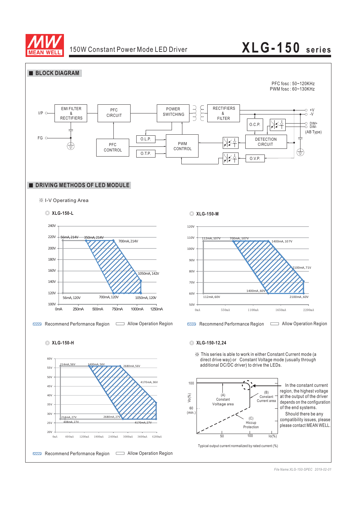

## 150W Constant Power Mode LED Driver **LEG-150** series



*File Name:XLG-150-SPEC 2019-02-01*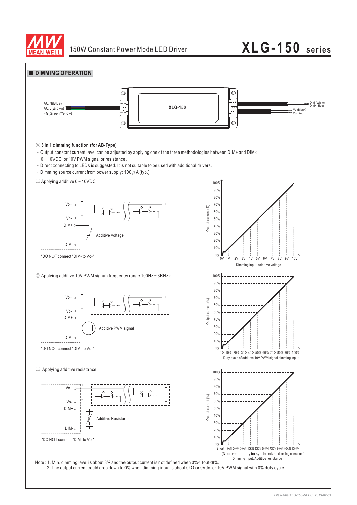

## 150W Constant Power Mode LED Driver **LEG-150** series



2. The output current could drop down to 0% when dimming input is about 0kΩ or 0Vdc, or 10V PWM signal with 0% duty cycle.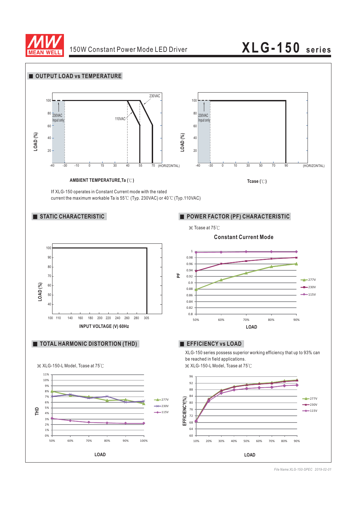

# 150W Constant Power Mode LED Driver **LEG-150** series



*File Name:XLG-150-SPEC 2019-02-01*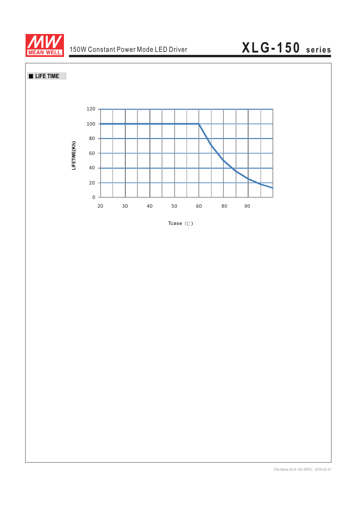

# 150W Constant Power Mode LED Driver **XLG-150** series





Tcase  $(°C)$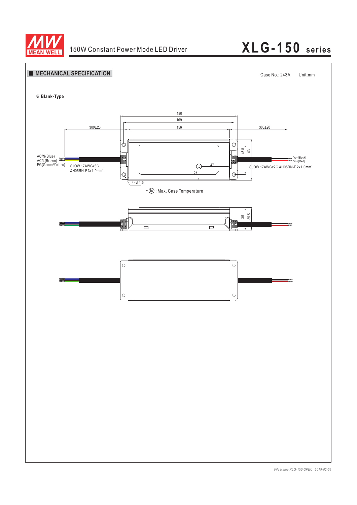

# 150W Constant Power Mode LED Driver **XLG-150 series**